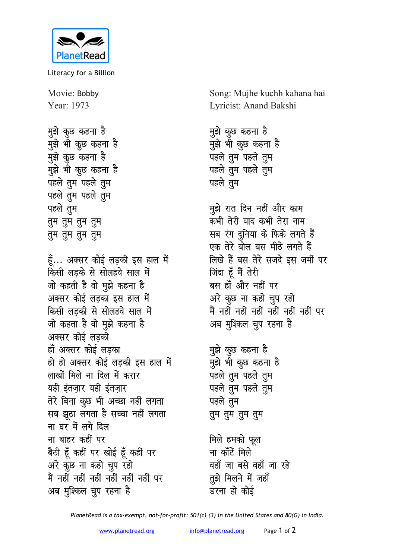

Literacy for a Billion

Movie: Bobby Year: 1973

मुझे कुछ कहना है <u>मुंझे भी क</u>ुछ कहना है <u>मू</u>झे कूछ कहना है <u>म</u>ुझे भी कुछ कहना है पहले तुम पहले तु**म** <u>पहले त</u>ुम पहले तुम पहले तूम **rqe rqe rqe rqe rqe rqe rqe rqe**

हूँ... अक्सर कोई लड़की इस हाल में **किसी लड़के से सोलहवे साल में** जो कहती है वो <u>म</u>ुझे कहना है अक्सर कोई लडका इस **हाल** में **किसी लड़की से सोलहवे साल में** <u>जो कहता है वो मुझे कहना है</u> अक्सर कोई लड़की हाँ अक्सर कोई लड़का हो हो अक्सर कोई लडकी इस हाल में **लाखों मिले ना दिल में करार** यही इंतजार यही इंतजार तेरे बिना कुछ भी अच्छा नहीं लगता सब झूठा लगता है सच्<mark>वा</mark> नहीं लगता <u>ना घर में लगे दिल</u> **ना बाहर कहीं पर** बैठी हूँ कहीं पर खोई हूँ कहीं पर अरे कुछ ना कहो चुप रहो <u>मैं नहीं नहीं नहीं नहीं नहीं पर</u> अब मुश्किल चूप रहना ह<del>ै</del>

Song: Mujhe kuchh kahana hai Lyricist: Anand Bakshi

<u>म</u>ुझे कुछ कहना है <u>म</u>ुझे भी कुछ कहना है <u>पहले त</u>ुम पहले तुम <u>पहले त</u>ुम पहले तुम पहले तुम

मुझे रात दिन नहीं और का**म** कभी तेरी याद कभी तेरा **ना**म सब रंग दुनिया के फिके लगते हैं एक तेरे बोल बस मी**ठे लगते** हैं **लिखे हैं बस तेरे सजदे इस जमीं पर जिंदा** हूँ मैं तेरी बस हाँ और नहीं पर अरे कुछ ना कहो चुप रहो <u>मैं नहीं नहीं नहीं नहीं नहीं पर</u> अब मुश्किल चुप रहना ह<del>ै</del>

<u>म</u>ुझे कुछ कहना है मुझे भी कुछ कहना है **पहले तुम** पहले तुम **पहले** तुम पहले तुम पहले <u>त</u>ुम **rqe rqe rqe rqe**

मिले हमको फूल **ना** काँटें मिले वहाँ जा बसे वहाँ जा रहे **तुझे मिलने में जहाँ** डरना हो कोई

*PlanetRead is a tax-exempt, not-for-profit: 501(c) (3) in the United States and 80(G) in India.*